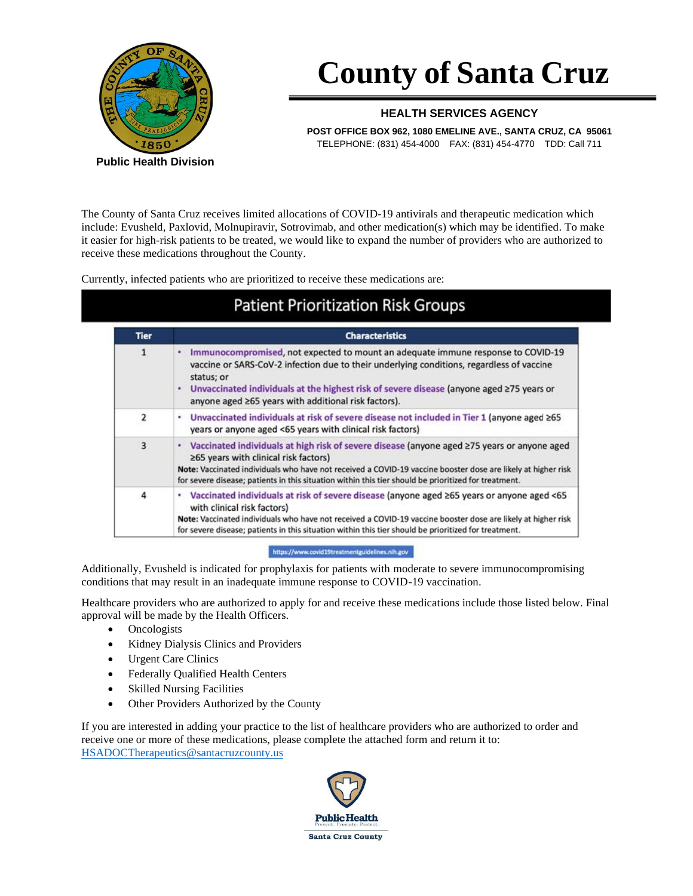

# **County of Santa Cruz**

#### **HEALTH SERVICES AGENCY**

**POST OFFICE BOX 962, 1080 EMELINE AVE., SANTA CRUZ, CA 95061**  TELEPHONE: (831) 454-4000 FAX: (831) 454-4770 TDD: Call 711

The County of Santa Cruz receives limited allocations of COVID-19 antivirals and therapeutic medication which include: Evusheld, Paxlovid, Molnupiravir, Sotrovimab, and other medication(s) which may be identified. To make it easier for high-risk patients to be treated, we would like to expand the number of providers who are authorized to receive these medications throughout the County.

Currently, infected patients who are prioritized to receive these medications are:

### **Patient Prioritization Risk Groups**

| <b>Tier</b>    | <b>Characteristics</b>                                                                                                                                                                                                                                                                                                                                                    |
|----------------|---------------------------------------------------------------------------------------------------------------------------------------------------------------------------------------------------------------------------------------------------------------------------------------------------------------------------------------------------------------------------|
| $\mathbf{1}$   | Immunocompromised, not expected to mount an adequate immune response to COVID-19<br>٠<br>vaccine or SARS-CoV-2 infection due to their underlying conditions, regardless of vaccine<br>status; or<br>Unvaccinated individuals at the highest risk of severe disease (anyone aged ≥75 years or<br>anyone aged ≥65 years with additional risk factors).                      |
| $\overline{2}$ | Unvaccinated individuals at risk of severe disease not included in Tier 1 (anyone aged ≥65<br>٠<br>years or anyone aged <65 years with clinical risk factors)                                                                                                                                                                                                             |
| $\overline{3}$ | Vaccinated individuals at high risk of severe disease (anyone aged ≥75 years or anyone aged<br>$\bullet$<br>≥65 years with clinical risk factors)<br>Note: Vaccinated individuals who have not received a COVID-19 vaccine booster dose are likely at higher risk<br>for severe disease; patients in this situation within this tier should be prioritized for treatment. |
| 4              | • Vaccinated individuals at risk of severe disease (anyone aged ≥65 years or anyone aged <65<br>with clinical risk factors)<br>Note: Vaccinated individuals who have not received a COVID-19 vaccine booster dose are likely at higher risk<br>for severe disease; patients in this situation within this tier should be prioritized for treatment.                       |

https://www.covid19treatmentguidelines.nih.gov

Additionally, Evusheld is indicated for prophylaxis for patients with moderate to severe immunocompromising conditions that may result in an inadequate immune response to COVID-19 vaccination.

Healthcare providers who are authorized to apply for and receive these medications include those listed below. Final approval will be made by the Health Officers.

- **Oncologists**
- Kidney Dialysis Clinics and Providers
- Urgent Care Clinics
- Federally Qualified Health Centers
- Skilled Nursing Facilities
- Other Providers Authorized by the County

If you are interested in adding your practice to the list of healthcare providers who are authorized to order and receive one or more of these medications, please complete the attached form and return it to: [HSADOCTherapeutics@santacruzcounty.us](mailto:HSADOCTherapeutics@santacruzcounty.us)

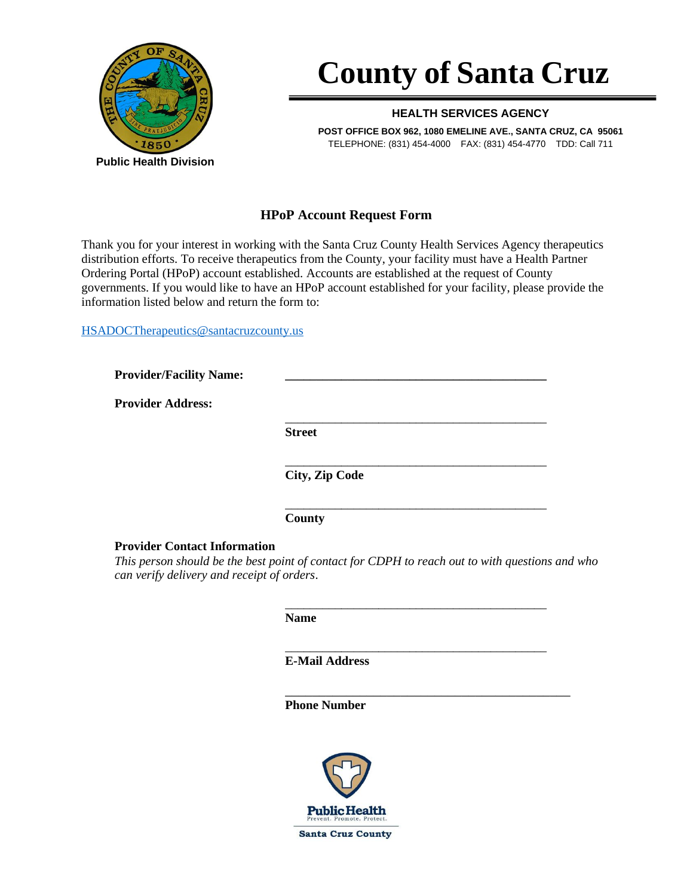

# **County of Santa Cruz**

#### **HEALTH SERVICES AGENCY**

**POST OFFICE BOX 962, 1080 EMELINE AVE., SANTA CRUZ, CA 95061**  TELEPHONE: (831) 454-4000 FAX: (831) 454-4770 TDD: Call 711

### **HPoP Account Request Form**

Thank you for your interest in working with the Santa Cruz County Health Services Agency therapeutics distribution efforts. To receive therapeutics from the County, your facility must have a Health Partner Ordering Portal (HPoP) account established. Accounts are established at the request of County governments. If you would like to have an HPoP account established for your facility, please provide the information listed below and return the form to:

[HSADOCTherapeutics@santacruzcounty.us](mailto:HSADOCTherapeutics@santacruzcounty.us)

| <b>Provider/Facility Name:</b> |                |
|--------------------------------|----------------|
| <b>Provider Address:</b>       |                |
|                                | <b>Street</b>  |
|                                | City, Zip Code |
|                                | County         |

**Provider Contact Information**

*This person should be the best point of contact for CDPH to reach out to with questions and who can verify delivery and receipt of orders*.

\_\_\_\_\_\_\_\_\_\_\_\_\_\_\_\_\_\_\_\_\_\_\_\_\_\_\_\_\_\_\_\_\_\_\_\_\_\_\_\_\_\_

\_\_\_\_\_\_\_\_\_\_\_\_\_\_\_\_\_\_\_\_\_\_\_\_\_\_\_\_\_\_\_\_\_\_\_\_\_\_\_\_\_\_

\_\_\_\_\_\_\_\_\_\_\_\_\_\_\_\_\_\_\_\_\_\_\_\_\_\_\_\_\_\_\_\_\_\_\_\_\_\_\_\_\_\_

**Name**

**E-Mail Address**

**Phone Number**